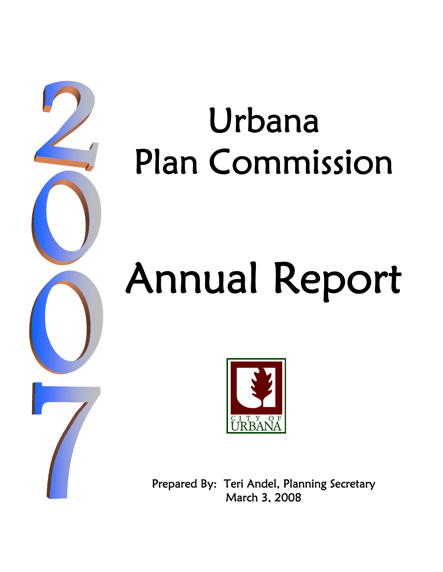

# Urbana Plan Commission

# Annual Report



Prepared By: Teri Andel, Planning Secretary March 3, 2008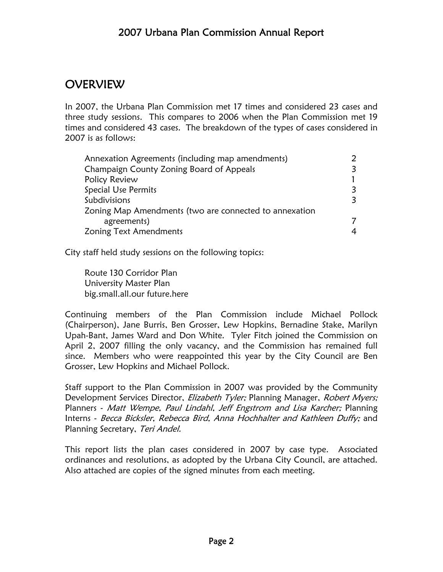# 2007 Urbana Plan Commission Annual Report

# OVERVIEW

In 2007, the Urbana Plan Commission met 17 times and considered 23 cases and three study sessions. This compares to 2006 when the Plan Commission met 19 times and considered 43 cases. The breakdown of the types of cases considered in 2007 is as follows:

| Annexation Agreements (including map amendments)       |  |
|--------------------------------------------------------|--|
| Champaign County Zoning Board of Appeals               |  |
| Policy Review                                          |  |
| <b>Special Use Permits</b>                             |  |
| Subdivisions                                           |  |
| Zoning Map Amendments (two are connected to annexation |  |
| agreements)                                            |  |
| Zoning Text Amendments                                 |  |
|                                                        |  |

City staff held study sessions on the following topics:

 Route 130 Corridor Plan University Master Plan big.small.all.our future.here

Continuing members of the Plan Commission include Michael Pollock (Chairperson), Jane Burris, Ben Grosser, Lew Hopkins, Bernadine Stake, Marilyn Upah-Bant, James Ward and Don White. Tyler Fitch joined the Commission on April 2, 2007 filling the only vacancy, and the Commission has remained full since. Members who were reappointed this year by the City Council are Ben Grosser, Lew Hopkins and Michael Pollock.

Staff support to the Plan Commission in 2007 was provided by the Community Development Services Director, *Elizabeth Tyler;* Planning Manager, *Robert Myers;* Planners - Matt Wempe, Paul Lindahl, Jeff Engstrom and Lisa Karcher; Planning Interns - Becca Bicksler, Rebecca Bird, Anna Hochhalter and Kathleen Duffy; and Planning Secretary, Teri Andel.

This report lists the plan cases considered in 2007 by case type. Associated ordinances and resolutions, as adopted by the Urbana City Council, are attached. Also attached are copies of the signed minutes from each meeting.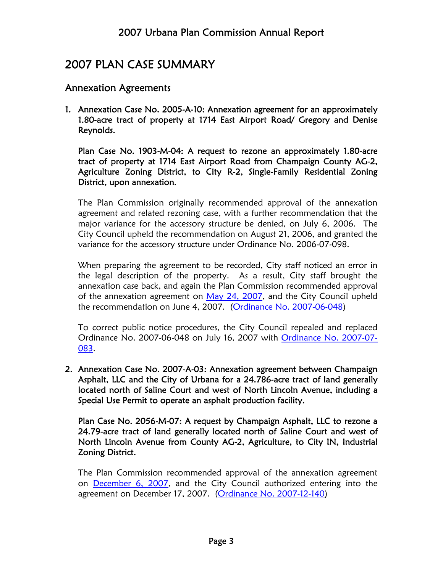# 2007 PLAN CASE SUMMARY

# Annexation Agreements

1. Annexation Case No. 2005-A-10: Annexation agreement for an approximately 1.80-acre tract of property at 1714 East Airport Road/ Gregory and Denise Reynolds.

Plan Case No. 1903-M-04: A request to rezone an approximately 1.80-acre tract of property at 1714 East Airport Road from Champaign County AG-2, Agriculture Zoning District, to City R-2, Single-Family Residential Zoning District, upon annexation.

The Plan Commission originally recommended approval of the annexation agreement and related rezoning case, with a further recommendation that the major variance for the accessory structure be denied, on July 6, 2006. The City Council upheld the recommendation on August 21, 2006, and granted the variance for the accessory structure under Ordinance No. 2006-07-098.

When preparing the agreement to be recorded, City staff noticed an error in the legal description of the property. As a result, City staff brought the annexation case back, and again the Plan Commission recommended approval of the annexation agreement on May 24, 2007, and the City Council upheld the recommendation on June 4, 2007. (Ordinance No. 2007-06-048)

To correct public notice procedures, the City Council repealed and replaced Ordinance No. 2007-06-048 on July 16, 2007 with Ordinance No. 2007-07- 083.

2. Annexation Case No. 2007-A-03: Annexation agreement between Champaign Asphalt, LLC and the City of Urbana for a 24.786-acre tract of land generally located north of Saline Court and west of North Lincoln Avenue, including a Special Use Permit to operate an asphalt production facility.

Plan Case No. 2056-M-07: A request by Champaign Asphalt, LLC to rezone a 24.79-acre tract of land generally located north of Saline Court and west of North Lincoln Avenue from County AG-2, Agriculture, to City IN, Industrial Zoning District.

The Plan Commission recommended approval of the annexation agreement on December 6, 2007, and the City Council authorized entering into the agreement on December 17, 2007. (Ordinance No. 2007-12-140)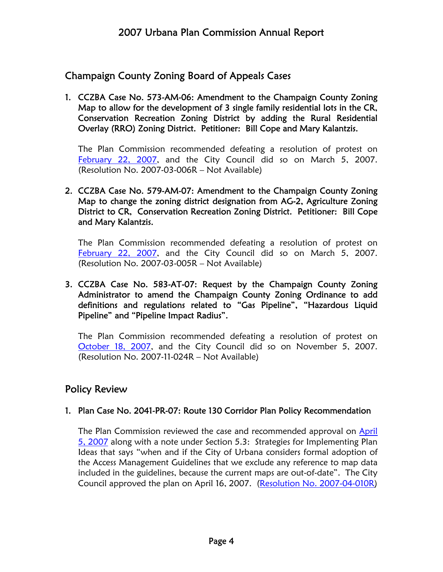# Champaign County Zoning Board of Appeals Cases

1. CCZBA Case No. 573-AM-06: Amendment to the Champaign County Zoning Map to allow for the development of 3 single family residential lots in the CR, Conservation Recreation Zoning District by adding the Rural Residential Overlay (RRO) Zoning District. Petitioner: Bill Cope and Mary Kalantzis.

The Plan Commission recommended defeating a resolution of protest on February 22, 2007, and the City Council did so on March 5, 2007. (Resolution No. 2007-03-006R – Not Available)

#### 2. CCZBA Case No. 579-AM-07: Amendment to the Champaign County Zoning Map to change the zoning district designation from AG-2, Agriculture Zoning District to CR, Conservation Recreation Zoning District. Petitioner: Bill Cope and Mary Kalantzis.

The Plan Commission recommended defeating a resolution of protest on February 22, 2007, and the City Council did so on March 5, 2007. (Resolution No. 2007-03-005R – Not Available)

#### 3. CCZBA Case No. 583-AT-07: Request by the Champaign County Zoning Administrator to amend the Champaign County Zoning Ordinance to add definitions and regulations related to "Gas Pipeline", "Hazardous Liquid Pipeline" and "Pipeline Impact Radius".

The Plan Commission recommended defeating a resolution of protest on October 18, 2007, and the City Council did so on November 5, 2007. (Resolution No. 2007-11-024R – Not Available)

# Policy Review

#### 1. Plan Case No. 2041-PR-07: Route 130 Corridor Plan Policy Recommendation

The Plan Commission reviewed the case and recommended approval on April 5, 2007 along with a note under Section 5.3: Strategies for Implementing Plan Ideas that says "when and if the City of Urbana considers formal adoption of the Access Management Guidelines that we exclude any reference to map data included in the guidelines, because the current maps are out-of-date". The City Council approved the plan on April 16, 2007. (Resolution No. 2007-04-010R)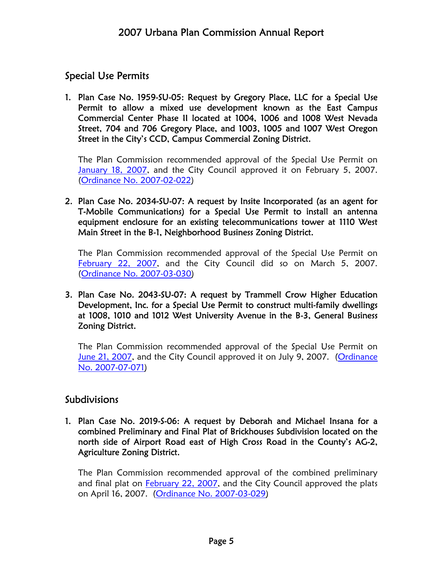# Special Use Permits

1. Plan Case No. 1959-SU-05: Request by Gregory Place, LLC for a Special Use Permit to allow a mixed use development known as the East Campus Commercial Center Phase II located at 1004, 1006 and 1008 West Nevada Street, 704 and 706 Gregory Place, and 1003, 1005 and 1007 West Oregon Street in the City's CCD, Campus Commercial Zoning District.

The Plan Commission recommended approval of the Special Use Permit on January 18, 2007, and the City Council approved it on February 5, 2007. (Ordinance No. 2007-02-022)

2. Plan Case No. 2034-SU-07: A request by Insite Incorporated (as an agent for T-Mobile Communications) for a Special Use Permit to install an antenna equipment enclosure for an existing telecommunications tower at 1110 West Main Street in the B-1, Neighborhood Business Zoning District.

The Plan Commission recommended approval of the Special Use Permit on February 22, 2007, and the City Council did so on March 5, 2007. (Ordinance No. 2007-03-030)

3. Plan Case No. 2043-SU-07: A request by Trammell Crow Higher Education Development, Inc. for a Special Use Permit to construct multi-family dwellings at 1008, 1010 and 1012 West University Avenue in the B-3, General Business Zoning District.

The Plan Commission recommended approval of the Special Use Permit on June 21, 2007, and the City Council approved it on July 9, 2007. (Ordinance No. 2007-07-071)

# Subdivisions

1. Plan Case No. 2019-S-06: A request by Deborah and Michael Insana for a combined Preliminary and Final Plat of Brickhouses Subdivision located on the north side of Airport Road east of High Cross Road in the County's AG-2, Agriculture Zoning District.

The Plan Commission recommended approval of the combined preliminary and final plat on February 22, 2007, and the City Council approved the plats on April 16, 2007. (Ordinance No. 2007-03-029)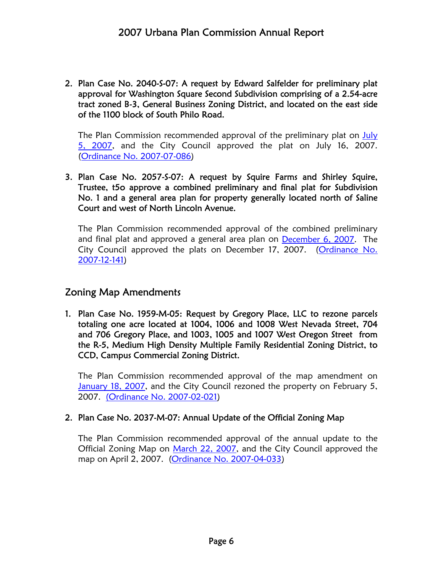2. Plan Case No. 2040-S-07: A request by Edward Salfelder for preliminary plat approval for Washington Square Second Subdivision comprising of a 2.54-acre tract zoned B-3, General Business Zoning District, and located on the east side of the 1100 block of South Philo Road.

The Plan Commission recommended approval of the preliminary plat on July 5, 2007, and the City Council approved the plat on July 16, 2007. (Ordinance No. 2007-07-086)

3. Plan Case No. 2057-S-07: A request by Squire Farms and Shirley Squire, Trustee, t5o approve a combined preliminary and final plat for Subdivision No. 1 and a general area plan for property generally located north of Saline Court and west of North Lincoln Avenue.

The Plan Commission recommended approval of the combined preliminary and final plat and approved a general area plan on December 6, 2007. The City Council approved the plats on December 17, 2007. (Ordinance No. 2007-12-141)

# Zoning Map Amendments

1. Plan Case No. 1959-M-05: Request by Gregory Place, LLC to rezone parcels totaling one acre located at 1004, 1006 and 1008 West Nevada Street, 704 and 706 Gregory Place, and 1003, 1005 and 1007 West Oregon Street from the R-5, Medium High Density Multiple Family Residential Zoning District, to CCD, Campus Commercial Zoning District.

The Plan Commission recommended approval of the map amendment on January 18, 2007, and the City Council rezoned the property on February 5, 2007. (Ordinance No. 2007-02-021)

#### 2. Plan Case No. 2037-M-07: Annual Update of the Official Zoning Map

The Plan Commission recommended approval of the annual update to the Official Zoning Map on March 22, 2007, and the City Council approved the map on April 2, 2007. (Ordinance No. 2007-04-033)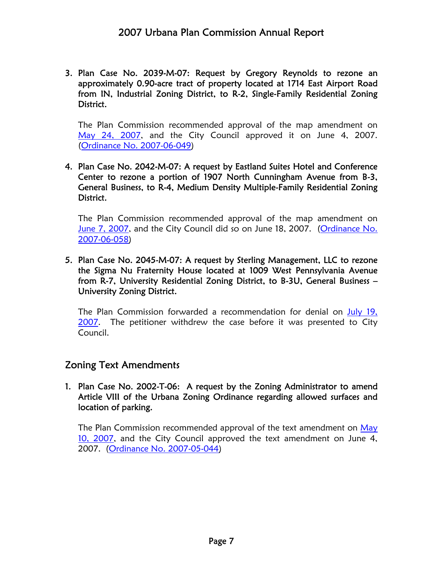3. Plan Case No. 2039-M-07: Request by Gregory Reynolds to rezone an approximately 0.90-acre tract of property located at 1714 East Airport Road from IN, Industrial Zoning District, to R-2, Single-Family Residential Zoning District.

The Plan Commission recommended approval of the map amendment on May 24, 2007, and the City Council approved it on June 4, 2007. (Ordinance No. 2007-06-049)

4. Plan Case No. 2042-M-07: A request by Eastland Suites Hotel and Conference Center to rezone a portion of 1907 North Cunningham Avenue from B-3, General Business, to R-4, Medium Density Multiple-Family Residential Zoning District.

The Plan Commission recommended approval of the map amendment on June 7, 2007, and the City Council did so on June 18, 2007. (Ordinance No. 2007-06-058)

5. Plan Case No. 2045-M-07: A request by Sterling Management, LLC to rezone the Sigma Nu Fraternity House located at 1009 West Pennsylvania Avenue from R-7, University Residential Zoning District, to B-3U, General Business – University Zoning District.

The Plan Commission forwarded a recommendation for denial on July 19, 2007. The petitioner withdrew the case before it was presented to City Council.

# Zoning Text Amendments

#### 1. Plan Case No. 2002-T-06: A request by the Zoning Administrator to amend Article VIII of the Urbana Zoning Ordinance regarding allowed surfaces and location of parking.

The Plan Commission recommended approval of the text amendment on May 10, 2007, and the City Council approved the text amendment on June 4, 2007. (Ordinance No. 2007-05-044)